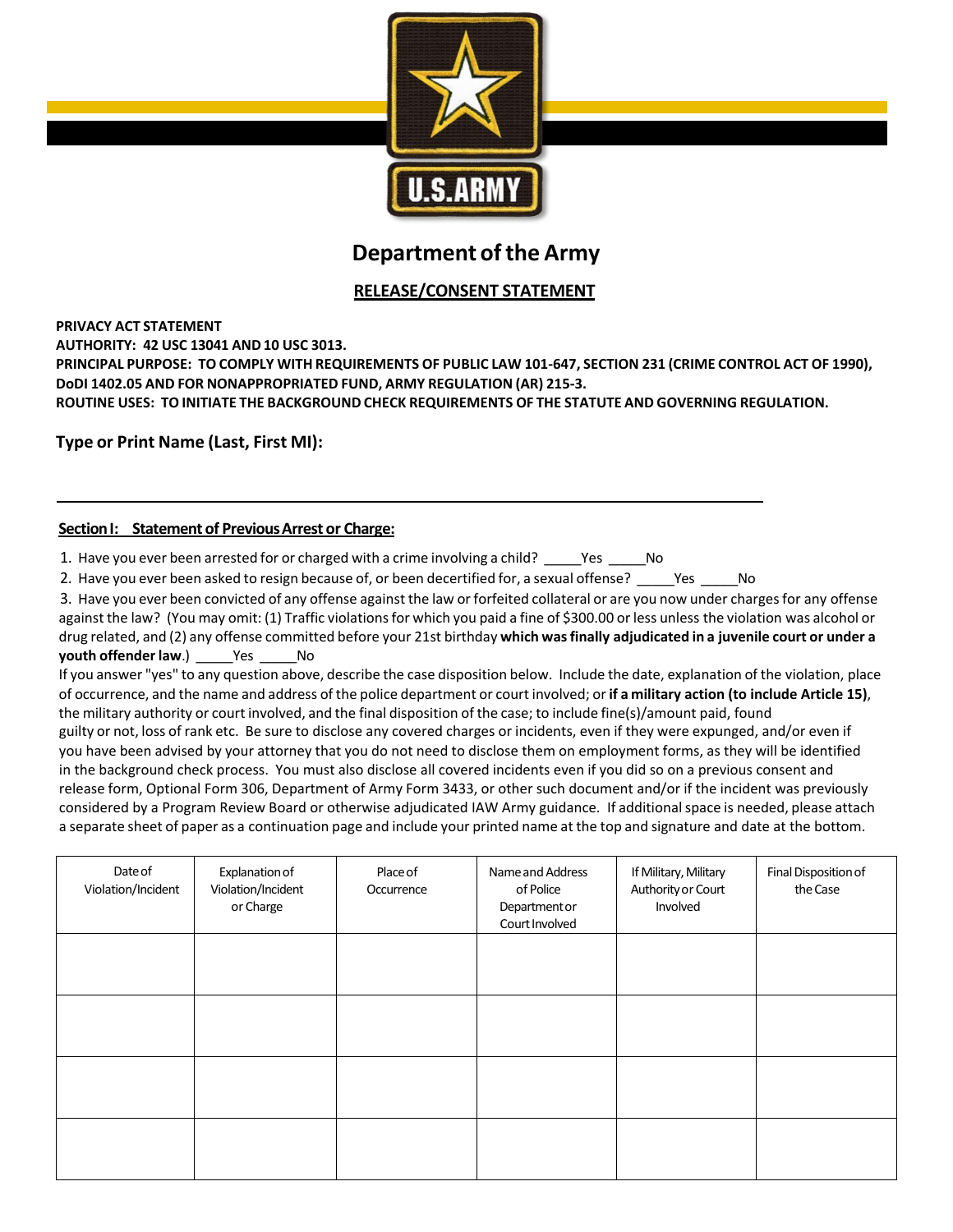

# **Department of the Army**

# **RELEASE/CONSENT STATEMENT**

### **PRIVACY ACT STATEMENT**

**AUTHORITY: 42 USC 13041 AND 10 USC 3013.**

**PRINCIPAL PURPOSE: TO COMPLY WITH REQUIREMENTS OF PUBLIC LAW 101-647, SECTION 231 (CRIME CONTROL ACT OF 1990), DoDI 1402.05 AND FOR NONAPPROPRIATED FUND, ARMY REGULATION (AR) 215-3.** 

**ROUTINE USES: TOINITIATE THE BACKGROUND CHECK REQUIREMENTS OF THE STATUTE AND GOVERNING REGULATION.**

**Type or Print Name (Last, First MI):**

### **Section I: Statement of Previous Arrest or Charge:**

1. Have you ever been arrested for or charged with a crime involving a child? \_\_\_\_\_\_Yes \_\_\_\_\_\_No

2. Have you ever been asked to resign because of, or been decertified for, a sexual offense? Thes The

3. Have you ever been convicted of any offense against the law or forfeited collateral or are you now under charges for any offense against the law? (You may omit: (1) Traffic violations for which you paid a fine of \$300.00 or less unless the violation was alcohol or drug related, and (2) any offense committed before your 21st birthday **which was finally adjudicated in a juvenile court or under a youth offender law.)** Yes No

If you answer "yes" to any question above, describe the case disposition below. Include the date, explanation of the violation, place of occurrence, and the name and address of the police department or court involved; or **if a military action (to include Article 15)**, the military authority or court involved, and the final disposition of the case; to include fine(s)/amount paid, found guilty or not, loss of rank etc. Be sure to disclose any covered charges or incidents, even if they were expunged, and/or even if you have been advised by your attorney that you do not need to disclose them on employment forms, as they will be identified in the background check process. You must also disclose all covered incidents even if you did so on a previous consent and release form, Optional Form 306, Department of Army Form 3433, or other such document and/or if the incident was previously considered by a Program Review Board or otherwise adjudicated IAW Army guidance. If additional space is needed, please attach a separate sheet of paper as a continuation page and include your printed name at the top and signature and date at the bottom.

| Date of<br>Violation/Incident | Explanation of<br>Violation/Incident<br>or Charge | Place of<br>Occurrence | Name and Address<br>of Police<br>Department or<br>Court Involved | If Military, Military<br>Authority or Court<br>Involved | Final Disposition of<br>the Case |
|-------------------------------|---------------------------------------------------|------------------------|------------------------------------------------------------------|---------------------------------------------------------|----------------------------------|
|                               |                                                   |                        |                                                                  |                                                         |                                  |
|                               |                                                   |                        |                                                                  |                                                         |                                  |
|                               |                                                   |                        |                                                                  |                                                         |                                  |
|                               |                                                   |                        |                                                                  |                                                         |                                  |